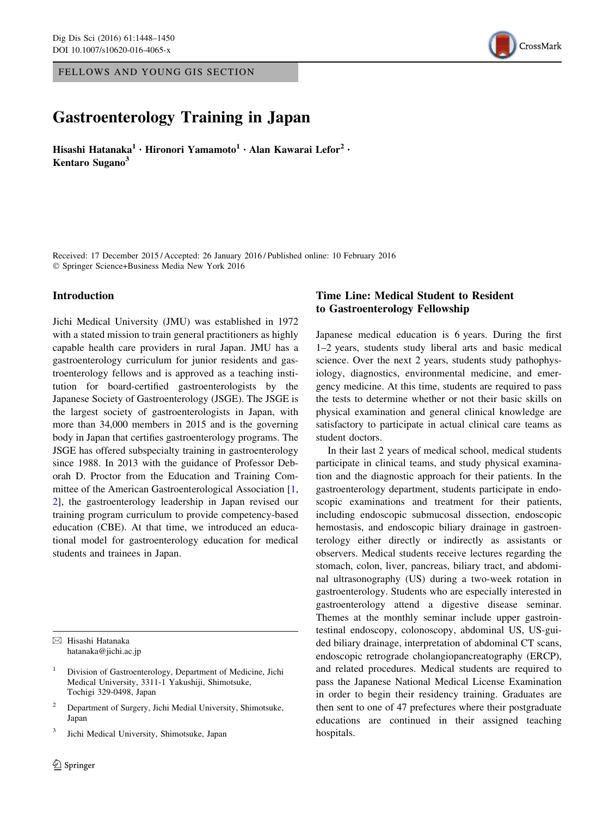FELLOWS AND YOUNG GIS SECTION

# CrossMark

# Gastroenterology Training in Japan

Hisashi Hatanaka<sup>1</sup> • Hironori Yamamoto<sup>1</sup> • Alan Kawarai Lefor<sup>2</sup> • Kentaro Sugano<sup>3</sup>

Received: 17 December 2015 / Accepted: 26 January 2016 / Published online: 10 February 2016 - Springer Science+Business Media New York 2016

#### Introduction

Jichi Medical University (JMU) was established in 1972 with a stated mission to train general practitioners as highly capable health care providers in rural Japan. JMU has a gastroenterology curriculum for junior residents and gastroenterology fellows and is approved as a teaching institution for board-certified gastroenterologists by the Japanese Society of Gastroenterology (JSGE). The JSGE is the largest society of gastroenterologists in Japan, with more than 34,000 members in 2015 and is the governing body in Japan that certifies gastroenterology programs. The JSGE has offered subspecialty training in gastroenterology since 1988. In 2013 with the guidance of Professor Deborah D. Proctor from the Education and Training Committee of the American Gastroenterological Association [[1,](#page-2-0) [2](#page-2-0)], the gastroenterology leadership in Japan revised our training program curriculum to provide competency-based education (CBE). At that time, we introduced an educational model for gastroenterology education for medical students and trainees in Japan.

 $\boxtimes$  Hisashi Hatanaka hatanaka@jichi.ac.jp

<sup>2</sup> Department of Surgery, Jichi Medial University, Shimotsuke, Japan

<sup>3</sup> Jichi Medical University, Shimotsuke, Japan

## Time Line: Medical Student to Resident to Gastroenterology Fellowship

Japanese medical education is 6 years. During the first 1–2 years, students study liberal arts and basic medical science. Over the next 2 years, students study pathophysiology, diagnostics, environmental medicine, and emergency medicine. At this time, students are required to pass the tests to determine whether or not their basic skills on physical examination and general clinical knowledge are satisfactory to participate in actual clinical care teams as student doctors.

In their last 2 years of medical school, medical students participate in clinical teams, and study physical examination and the diagnostic approach for their patients. In the gastroenterology department, students participate in endoscopic examinations and treatment for their patients, including endoscopic submucosal dissection, endoscopic hemostasis, and endoscopic biliary drainage in gastroenterology either directly or indirectly as assistants or observers. Medical students receive lectures regarding the stomach, colon, liver, pancreas, biliary tract, and abdominal ultrasonography (US) during a two-week rotation in gastroenterology. Students who are especially interested in gastroenterology attend a digestive disease seminar. Themes at the monthly seminar include upper gastrointestinal endoscopy, colonoscopy, abdominal US, US-guided biliary drainage, interpretation of abdominal CT scans, endoscopic retrograde cholangiopancreatography (ERCP), and related procedures. Medical students are required to pass the Japanese National Medical License Examination in order to begin their residency training. Graduates are then sent to one of 47 prefectures where their postgraduate educations are continued in their assigned teaching hospitals.

<sup>1</sup> Division of Gastroenterology, Department of Medicine, Jichi Medical University, 3311-1 Yakushiji, Shimotsuke, Tochigi 329-0498, Japan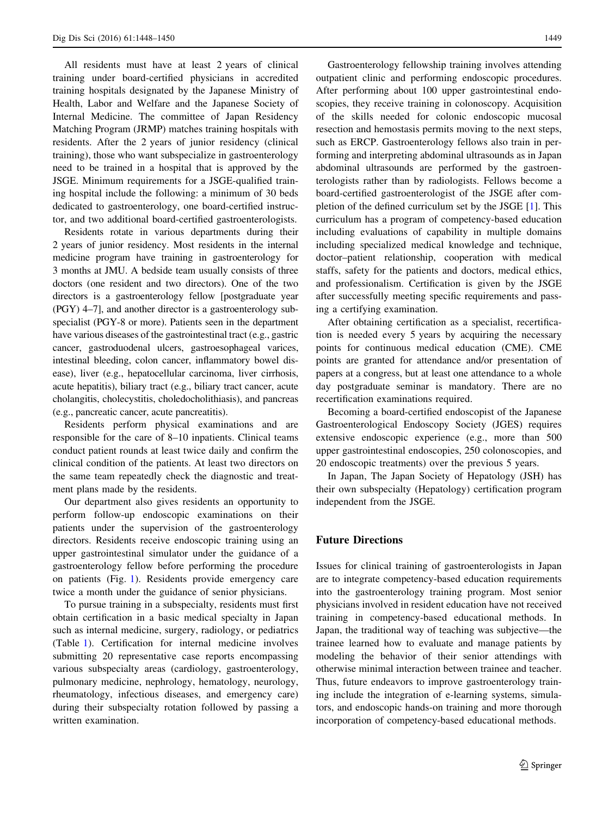All residents must have at least 2 years of clinical training under board-certified physicians in accredited training hospitals designated by the Japanese Ministry of Health, Labor and Welfare and the Japanese Society of Internal Medicine. The committee of Japan Residency Matching Program (JRMP) matches training hospitals with residents. After the 2 years of junior residency (clinical training), those who want subspecialize in gastroenterology need to be trained in a hospital that is approved by the JSGE. Minimum requirements for a JSGE-qualified training hospital include the following: a minimum of 30 beds dedicated to gastroenterology, one board-certified instructor, and two additional board-certified gastroenterologists.

Residents rotate in various departments during their 2 years of junior residency. Most residents in the internal medicine program have training in gastroenterology for 3 months at JMU. A bedside team usually consists of three doctors (one resident and two directors). One of the two directors is a gastroenterology fellow [postgraduate year (PGY) 4–7], and another director is a gastroenterology subspecialist (PGY-8 or more). Patients seen in the department have various diseases of the gastrointestinal tract (e.g., gastric cancer, gastroduodenal ulcers, gastroesophageal varices, intestinal bleeding, colon cancer, inflammatory bowel disease), liver (e.g., hepatocellular carcinoma, liver cirrhosis, acute hepatitis), biliary tract (e.g., biliary tract cancer, acute cholangitis, cholecystitis, choledocholithiasis), and pancreas (e.g., pancreatic cancer, acute pancreatitis).

Residents perform physical examinations and are responsible for the care of 8–10 inpatients. Clinical teams conduct patient rounds at least twice daily and confirm the clinical condition of the patients. At least two directors on the same team repeatedly check the diagnostic and treatment plans made by the residents.

Our department also gives residents an opportunity to perform follow-up endoscopic examinations on their patients under the supervision of the gastroenterology directors. Residents receive endoscopic training using an upper gastrointestinal simulator under the guidance of a gastroenterology fellow before performing the procedure on patients (Fig. [1\)](#page-2-0). Residents provide emergency care twice a month under the guidance of senior physicians.

To pursue training in a subspecialty, residents must first obtain certification in a basic medical specialty in Japan such as internal medicine, surgery, radiology, or pediatrics (Table [1](#page-2-0)). Certification for internal medicine involves submitting 20 representative case reports encompassing various subspecialty areas (cardiology, gastroenterology, pulmonary medicine, nephrology, hematology, neurology, rheumatology, infectious diseases, and emergency care) during their subspecialty rotation followed by passing a written examination.

Gastroenterology fellowship training involves attending outpatient clinic and performing endoscopic procedures. After performing about 100 upper gastrointestinal endoscopies, they receive training in colonoscopy. Acquisition of the skills needed for colonic endoscopic mucosal resection and hemostasis permits moving to the next steps, such as ERCP. Gastroenterology fellows also train in performing and interpreting abdominal ultrasounds as in Japan abdominal ultrasounds are performed by the gastroenterologists rather than by radiologists. Fellows become a board-certified gastroenterologist of the JSGE after completion of the defined curriculum set by the JSGE [[1\]](#page-2-0). This curriculum has a program of competency-based education including evaluations of capability in multiple domains including specialized medical knowledge and technique, doctor–patient relationship, cooperation with medical staffs, safety for the patients and doctors, medical ethics, and professionalism. Certification is given by the JSGE after successfully meeting specific requirements and passing a certifying examination.

After obtaining certification as a specialist, recertification is needed every 5 years by acquiring the necessary points for continuous medical education (CME). CME points are granted for attendance and/or presentation of papers at a congress, but at least one attendance to a whole day postgraduate seminar is mandatory. There are no recertification examinations required.

Becoming a board-certified endoscopist of the Japanese Gastroenterological Endoscopy Society (JGES) requires extensive endoscopic experience (e.g., more than 500 upper gastrointestinal endoscopies, 250 colonoscopies, and 20 endoscopic treatments) over the previous 5 years.

In Japan, The Japan Society of Hepatology (JSH) has their own subspecialty (Hepatology) certification program independent from the JSGE.

#### Future Directions

Issues for clinical training of gastroenterologists in Japan are to integrate competency-based education requirements into the gastroenterology training program. Most senior physicians involved in resident education have not received training in competency-based educational methods. In Japan, the traditional way of teaching was subjective—the trainee learned how to evaluate and manage patients by modeling the behavior of their senior attendings with otherwise minimal interaction between trainee and teacher. Thus, future endeavors to improve gastroenterology training include the integration of e-learning systems, simulators, and endoscopic hands-on training and more thorough incorporation of competency-based educational methods.